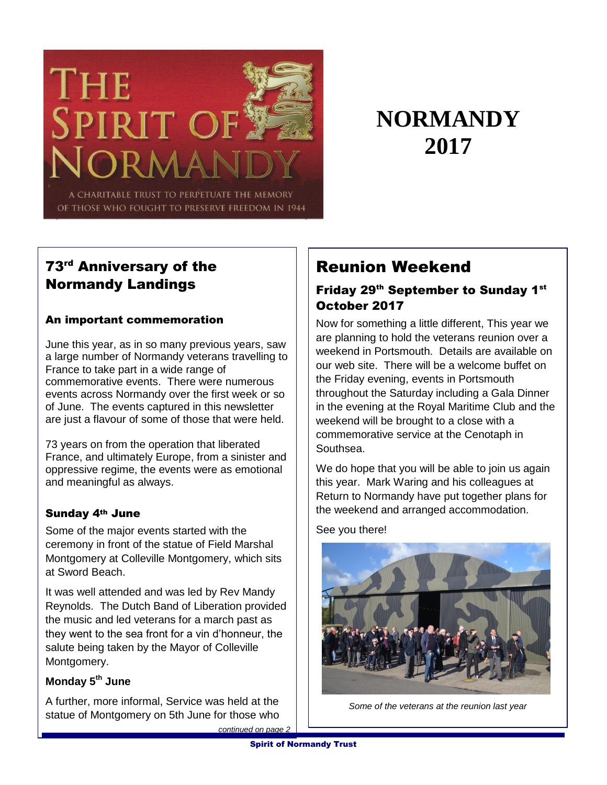

# **NORMANDY 2017**

# 73rd Anniversary of the Normandy Landings

#### An important commemoration

June this year, as in so many previous years, saw a large number of Normandy veterans travelling to France to take part in a wide range of commemorative events. There were numerous events across Normandy over the first week or so of June. The events captured in this newsletter are just a flavour of some of those that were held.

73 years on from the operation that liberated France, and ultimately Europe, from a sinister and oppressive regime, the events were as emotional and meaningful as always.

#### Sunday 4th June

Some of the major events started with the ceremony in front of the statue of Field Marshal Montgomery at Colleville Montgomery, which sits at Sword Beach.

It was well attended and was led by Rev Mandy Reynolds. The Dutch Band of Liberation provided the music and led veterans for a march past as they went to the sea front for a vin d'honneur, the salute being taken by the Mayor of Colleville Montgomery.

## **Monday 5th June**

A further, more informal, Service was held at the statue of Montgomery on 5th June for those who

# Reunion Weekend

### Friday 29<sup>th</sup> September to Sunday 1<sup>st</sup> October 2017

Now for something a little different, This year we are planning to hold the veterans reunion over a weekend in Portsmouth. Details are available on our web site. There will be a welcome buffet on the Friday evening, events in Portsmouth throughout the Saturday including a Gala Dinner in the evening at the Royal Maritime Club and the weekend will be brought to a close with a commemorative service at the Cenotaph in Southsea.

We do hope that you will be able to join us again this year. Mark Waring and his colleagues at Return to Normandy have put together plans for the weekend and arranged accommodation.

See you there!



*Some of the veterans at the reunion last year*

*continued on page 2*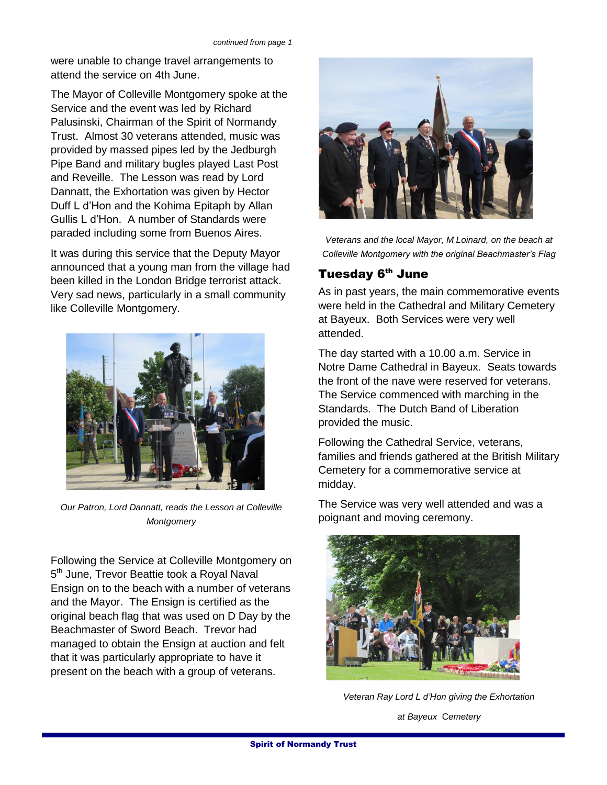were unable to change travel arrangements to attend the service on 4th June.

The Mayor of Colleville Montgomery spoke at the Service and the event was led by Richard Palusinski, Chairman of the Spirit of Normandy Trust. Almost 30 veterans attended, music was provided by massed pipes led by the Jedburgh Pipe Band and military bugles played Last Post and Reveille. The Lesson was read by Lord Dannatt, the Exhortation was given by Hector Duff L d'Hon and the Kohima Epitaph by Allan Gullis L d'Hon. A number of Standards were paraded including some from Buenos Aires.

It was during this service that the Deputy Mayor announced that a young man from the village had been killed in the London Bridge terrorist attack. Very sad news, particularly in a small community like Colleville Montgomery.



*Our Patron, Lord Dannatt, reads the Lesson at Colleville Montgomery*

Following the Service at Colleville Montgomery on 5<sup>th</sup> June, Trevor Beattie took a Royal Naval Ensign on to the beach with a number of veterans and the Mayor. The Ensign is certified as the original beach flag that was used on D Day by the Beachmaster of Sword Beach. Trevor had managed to obtain the Ensign at auction and felt that it was particularly appropriate to have it present on the beach with a group of veterans.



*Veterans and the local Mayor, M Loinard, on the beach at Colleville Montgomery with the original Beachmaster's Flag*

#### Tuesday 6<sup>th</sup> June

As in past years, the main commemorative events were held in the Cathedral and Military Cemetery at Bayeux. Both Services were very well attended.

The day started with a 10.00 a.m. Service in Notre Dame Cathedral in Bayeux. Seats towards the front of the nave were reserved for veterans. The Service commenced with marching in the Standards. The Dutch Band of Liberation provided the music.

Following the Cathedral Service, veterans, families and friends gathered at the British Military Cemetery for a commemorative service at midday.

The Service was very well attended and was a poignant and moving ceremony.



*Veteran Ray Lord L d'Hon giving the Exhortation at Bayeux* C*emetery*